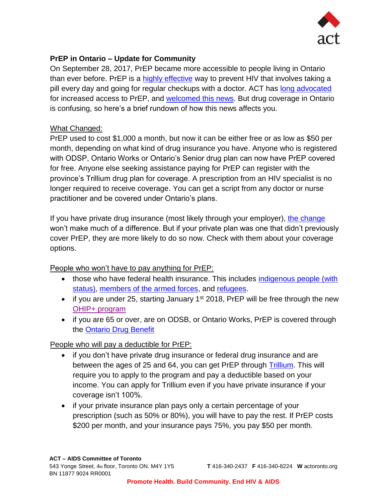

# **PrEP in Ontario – Update for Community**

On September 28, 2017, PrEP became more accessible to people living in Ontario than ever before. PrEP is a [highly effective](http://www.aidsmap.com/How-effective-is-PrEP/page/2983351/) way to prevent HIV that involves taking a pill every day and going for regular checkups with a doctor. ACT has [long advocated](http://www.actoronto.org/about-act/our-organization/position-statements) for increased access to PrEP, and [welcomed this news.](https://www.facebook.com/notes/act/prep-access-finally-real-in-ontario/10155755230438007/) But drug coverage in Ontario is confusing, so here's a brief rundown of how this news affects you.

#### What Changed:

PrEP used to cost \$1,000 a month, but now it can be either free or as low as \$50 per month, depending on what kind of drug insurance you have. Anyone who is registered with ODSP, Ontario Works or Ontario's Senior drug plan can now have PrEP covered for free. Anyone else seeking assistance paying for PrEP can register with the province's Trillium drug plan for coverage. A prescription from an HIV specialist is no longer required to receive coverage. You can get a script from any doctor or nurse practitioner and be covered under Ontario's plans.

If you have private drug insurance (most likely through your employer), [the change](http://www.cbc.ca/news/health/hiv-prep-coverage-1.4302184) won't make much of a difference. But if your private plan was one that didn't previously cover PrEP, they are more likely to do so now. Check with them about your coverage options.

## People who won't have to pay anything for PrEP:

- those who have federal health insurance. This includes indigenous people (with [status\),](https://www.canada.ca/en/health-canada/corporate/about-health-canada/branches-agencies/first-nations-inuit-health-branch.html) [members of the armed forces,](http://www.forces.gc.ca/en/caf-community-health-services-benefits-drug-coverage/coverage-eligibility-management-access.page) and [refugees.](http://www.cic.gc.ca/english/refugees/outside/arriving-healthcare.asp)
- if you are under 25, starting January  $1<sup>st</sup>$  2018, PrEP will be free through the new [OHIP+ program](https://www.ontario.ca/page/learn-about-ohip-plus)
- if you are 65 or over, are on ODSB, or Ontario Works, PrEP is covered through the [Ontario Drug Benefit](https://www.ontario.ca/page/get-coverage-prescription-drugs)

## People who will pay a deductible for PrEP:

- if you don't have private drug insurance or federal drug insurance and are between the ages of 25 and 64, you can get PrEP through [Trillium.](http://www.forms.ssb.gov.on.ca/mbs/ssb/forms/ssbforms.nsf/GetFileAttach/014-S46850E-87~15/$File/014-S46850E-87.pdf) This will require you to apply to the program and pay a deductible based on your income. You can apply for Trillium even if you have private insurance if your coverage isn't 100%.
- if your private insurance plan pays only a certain percentage of your prescription (such as 50% or 80%), you will have to pay the rest. If PrEP costs \$200 per month, and your insurance pays 75%, you pay \$50 per month.